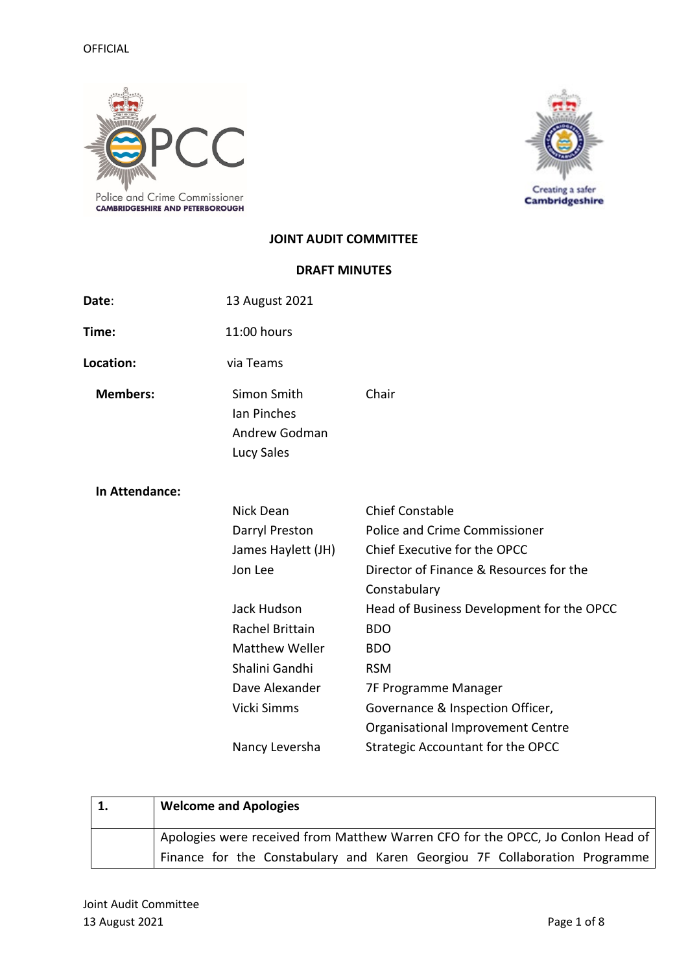

Creating a safer<br>Cambridgeshire

## **JOINT AUDIT COMMITTEE**

## **DRAFT MINUTES**

| Date:           | 13 August 2021                                            |                                                         |
|-----------------|-----------------------------------------------------------|---------------------------------------------------------|
| Time:           | 11:00 hours                                               |                                                         |
| Location:       | via Teams                                                 |                                                         |
| <b>Members:</b> | Simon Smith<br>Ian Pinches<br>Andrew Godman<br>Lucy Sales | Chair                                                   |
| In Attendance:  |                                                           |                                                         |
|                 | Nick Dean                                                 | <b>Chief Constable</b>                                  |
|                 | Darryl Preston                                            | <b>Police and Crime Commissioner</b>                    |
|                 | James Haylett (JH)                                        | Chief Executive for the OPCC                            |
|                 | Jon Lee                                                   | Director of Finance & Resources for the<br>Constabulary |
|                 | Jack Hudson                                               | Head of Business Development for the OPCC               |
|                 | Rachel Brittain                                           | <b>BDO</b>                                              |
|                 | <b>Matthew Weller</b>                                     | <b>BDO</b>                                              |
|                 | Shalini Gandhi                                            | <b>RSM</b>                                              |
|                 | Dave Alexander                                            | 7F Programme Manager                                    |
|                 | Vicki Simms                                               | Governance & Inspection Officer,                        |
|                 |                                                           | Organisational Improvement Centre                       |
|                 | Nancy Leversha                                            | <b>Strategic Accountant for the OPCC</b>                |

| <b>Welcome and Apologies</b>                                                    |
|---------------------------------------------------------------------------------|
| Apologies were received from Matthew Warren CFO for the OPCC, Jo Conlon Head of |
| Finance for the Constabulary and Karen Georgiou 7F Collaboration Programme      |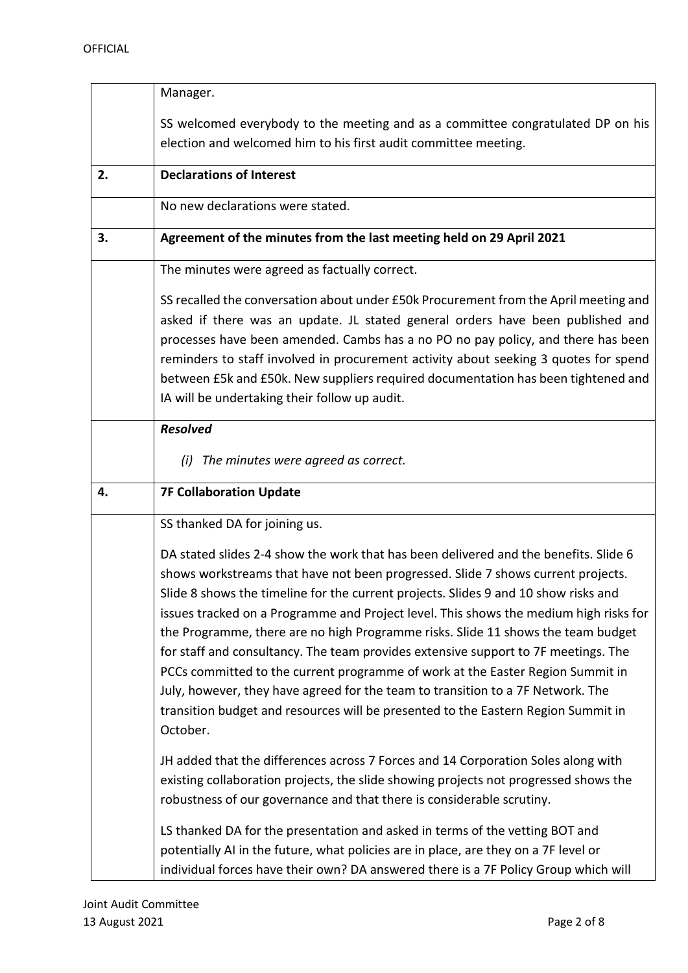|    | Manager.                                                                                                                                                                                                                                                                                                                                                                                                                                                                                                                                                                                                                                                                                                                                                                                                 |
|----|----------------------------------------------------------------------------------------------------------------------------------------------------------------------------------------------------------------------------------------------------------------------------------------------------------------------------------------------------------------------------------------------------------------------------------------------------------------------------------------------------------------------------------------------------------------------------------------------------------------------------------------------------------------------------------------------------------------------------------------------------------------------------------------------------------|
|    | SS welcomed everybody to the meeting and as a committee congratulated DP on his                                                                                                                                                                                                                                                                                                                                                                                                                                                                                                                                                                                                                                                                                                                          |
|    | election and welcomed him to his first audit committee meeting.                                                                                                                                                                                                                                                                                                                                                                                                                                                                                                                                                                                                                                                                                                                                          |
| 2. | <b>Declarations of Interest</b>                                                                                                                                                                                                                                                                                                                                                                                                                                                                                                                                                                                                                                                                                                                                                                          |
|    | No new declarations were stated.                                                                                                                                                                                                                                                                                                                                                                                                                                                                                                                                                                                                                                                                                                                                                                         |
| 3. | Agreement of the minutes from the last meeting held on 29 April 2021                                                                                                                                                                                                                                                                                                                                                                                                                                                                                                                                                                                                                                                                                                                                     |
|    | The minutes were agreed as factually correct.                                                                                                                                                                                                                                                                                                                                                                                                                                                                                                                                                                                                                                                                                                                                                            |
|    | SS recalled the conversation about under £50k Procurement from the April meeting and<br>asked if there was an update. JL stated general orders have been published and<br>processes have been amended. Cambs has a no PO no pay policy, and there has been<br>reminders to staff involved in procurement activity about seeking 3 quotes for spend<br>between £5k and £50k. New suppliers required documentation has been tightened and<br>IA will be undertaking their follow up audit.                                                                                                                                                                                                                                                                                                                 |
|    | <b>Resolved</b>                                                                                                                                                                                                                                                                                                                                                                                                                                                                                                                                                                                                                                                                                                                                                                                          |
|    | The minutes were agreed as correct.<br>(i)                                                                                                                                                                                                                                                                                                                                                                                                                                                                                                                                                                                                                                                                                                                                                               |
| 4. | <b>7F Collaboration Update</b>                                                                                                                                                                                                                                                                                                                                                                                                                                                                                                                                                                                                                                                                                                                                                                           |
|    | SS thanked DA for joining us.                                                                                                                                                                                                                                                                                                                                                                                                                                                                                                                                                                                                                                                                                                                                                                            |
|    | DA stated slides 2-4 show the work that has been delivered and the benefits. Slide 6<br>shows workstreams that have not been progressed. Slide 7 shows current projects.<br>Slide 8 shows the timeline for the current projects. Slides 9 and 10 show risks and<br>issues tracked on a Programme and Project level. This shows the medium high risks for<br>the Programme, there are no high Programme risks. Slide 11 shows the team budget<br>for staff and consultancy. The team provides extensive support to 7F meetings. The<br>PCCs committed to the current programme of work at the Easter Region Summit in<br>July, however, they have agreed for the team to transition to a 7F Network. The<br>transition budget and resources will be presented to the Eastern Region Summit in<br>October. |
|    | JH added that the differences across 7 Forces and 14 Corporation Soles along with<br>existing collaboration projects, the slide showing projects not progressed shows the<br>robustness of our governance and that there is considerable scrutiny.                                                                                                                                                                                                                                                                                                                                                                                                                                                                                                                                                       |
|    | LS thanked DA for the presentation and asked in terms of the vetting BOT and<br>potentially AI in the future, what policies are in place, are they on a 7F level or<br>individual forces have their own? DA answered there is a 7F Policy Group which will                                                                                                                                                                                                                                                                                                                                                                                                                                                                                                                                               |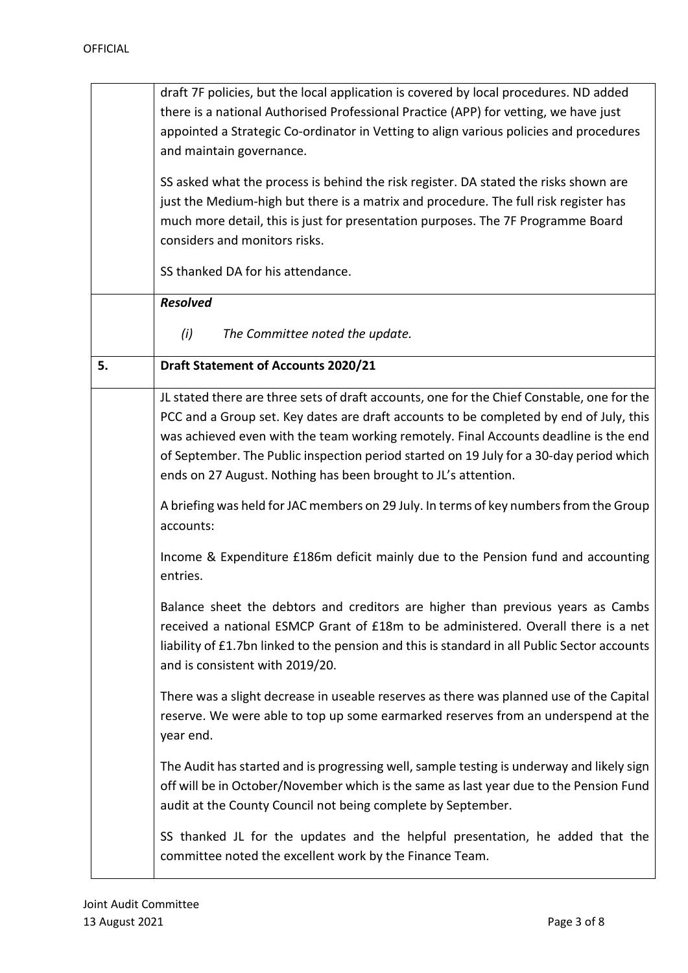|    | draft 7F policies, but the local application is covered by local procedures. ND added        |
|----|----------------------------------------------------------------------------------------------|
|    | there is a national Authorised Professional Practice (APP) for vetting, we have just         |
|    | appointed a Strategic Co-ordinator in Vetting to align various policies and procedures       |
|    | and maintain governance.                                                                     |
|    |                                                                                              |
|    | SS asked what the process is behind the risk register. DA stated the risks shown are         |
|    | just the Medium-high but there is a matrix and procedure. The full risk register has         |
|    | much more detail, this is just for presentation purposes. The 7F Programme Board             |
|    | considers and monitors risks.                                                                |
|    | SS thanked DA for his attendance.                                                            |
|    | <b>Resolved</b>                                                                              |
|    | (i)<br>The Committee noted the update.                                                       |
| 5. | <b>Draft Statement of Accounts 2020/21</b>                                                   |
|    | JL stated there are three sets of draft accounts, one for the Chief Constable, one for the   |
|    | PCC and a Group set. Key dates are draft accounts to be completed by end of July, this       |
|    | was achieved even with the team working remotely. Final Accounts deadline is the end         |
|    | of September. The Public inspection period started on 19 July for a 30-day period which      |
|    | ends on 27 August. Nothing has been brought to JL's attention.                               |
|    | A briefing was held for JAC members on 29 July. In terms of key numbers from the Group       |
|    | accounts:                                                                                    |
|    | Income & Expenditure £186m deficit mainly due to the Pension fund and accounting<br>entries. |
|    |                                                                                              |
|    | Balance sheet the debtors and creditors are higher than previous years as Cambs              |
|    | received a national ESMCP Grant of £18m to be administered. Overall there is a net           |
|    | liability of £1.7bn linked to the pension and this is standard in all Public Sector accounts |
|    | and is consistent with 2019/20.                                                              |
|    |                                                                                              |
|    | There was a slight decrease in useable reserves as there was planned use of the Capital      |
|    | reserve. We were able to top up some earmarked reserves from an underspend at the            |
|    | year end.                                                                                    |
|    | The Audit has started and is progressing well, sample testing is underway and likely sign    |
|    | off will be in October/November which is the same as last year due to the Pension Fund       |
|    | audit at the County Council not being complete by September.                                 |
|    | SS thanked JL for the updates and the helpful presentation, he added that the                |
|    | committee noted the excellent work by the Finance Team.                                      |
|    |                                                                                              |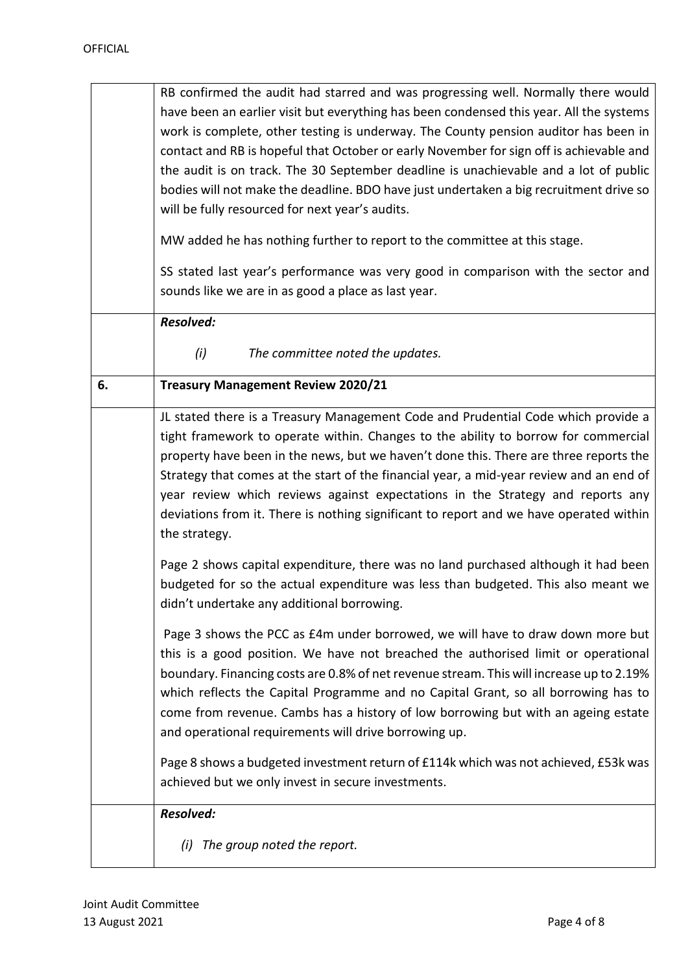|    | RB confirmed the audit had starred and was progressing well. Normally there would<br>have been an earlier visit but everything has been condensed this year. All the systems<br>work is complete, other testing is underway. The County pension auditor has been in<br>contact and RB is hopeful that October or early November for sign off is achievable and<br>the audit is on track. The 30 September deadline is unachievable and a lot of public<br>bodies will not make the deadline. BDO have just undertaken a big recruitment drive so<br>will be fully resourced for next year's audits.<br>MW added he has nothing further to report to the committee at this stage.<br>SS stated last year's performance was very good in comparison with the sector and<br>sounds like we are in as good a place as last year. |
|----|------------------------------------------------------------------------------------------------------------------------------------------------------------------------------------------------------------------------------------------------------------------------------------------------------------------------------------------------------------------------------------------------------------------------------------------------------------------------------------------------------------------------------------------------------------------------------------------------------------------------------------------------------------------------------------------------------------------------------------------------------------------------------------------------------------------------------|
|    | Resolved:                                                                                                                                                                                                                                                                                                                                                                                                                                                                                                                                                                                                                                                                                                                                                                                                                    |
|    | (i)<br>The committee noted the updates.                                                                                                                                                                                                                                                                                                                                                                                                                                                                                                                                                                                                                                                                                                                                                                                      |
| 6. | <b>Treasury Management Review 2020/21</b>                                                                                                                                                                                                                                                                                                                                                                                                                                                                                                                                                                                                                                                                                                                                                                                    |
|    | JL stated there is a Treasury Management Code and Prudential Code which provide a<br>tight framework to operate within. Changes to the ability to borrow for commercial<br>property have been in the news, but we haven't done this. There are three reports the<br>Strategy that comes at the start of the financial year, a mid-year review and an end of<br>year review which reviews against expectations in the Strategy and reports any<br>deviations from it. There is nothing significant to report and we have operated within<br>the strategy.                                                                                                                                                                                                                                                                     |
|    | Page 2 shows capital expenditure, there was no land purchased although it had been<br>budgeted for so the actual expenditure was less than budgeted. This also meant we<br>didn't undertake any additional borrowing.                                                                                                                                                                                                                                                                                                                                                                                                                                                                                                                                                                                                        |
|    | Page 3 shows the PCC as £4m under borrowed, we will have to draw down more but<br>this is a good position. We have not breached the authorised limit or operational<br>boundary. Financing costs are 0.8% of net revenue stream. This will increase up to 2.19%<br>which reflects the Capital Programme and no Capital Grant, so all borrowing has to<br>come from revenue. Cambs has a history of low borrowing but with an ageing estate<br>and operational requirements will drive borrowing up.                                                                                                                                                                                                                                                                                                                          |
|    | Page 8 shows a budgeted investment return of £114k which was not achieved, £53k was<br>achieved but we only invest in secure investments.                                                                                                                                                                                                                                                                                                                                                                                                                                                                                                                                                                                                                                                                                    |
|    | <b>Resolved:</b><br>The group noted the report.<br>(i)                                                                                                                                                                                                                                                                                                                                                                                                                                                                                                                                                                                                                                                                                                                                                                       |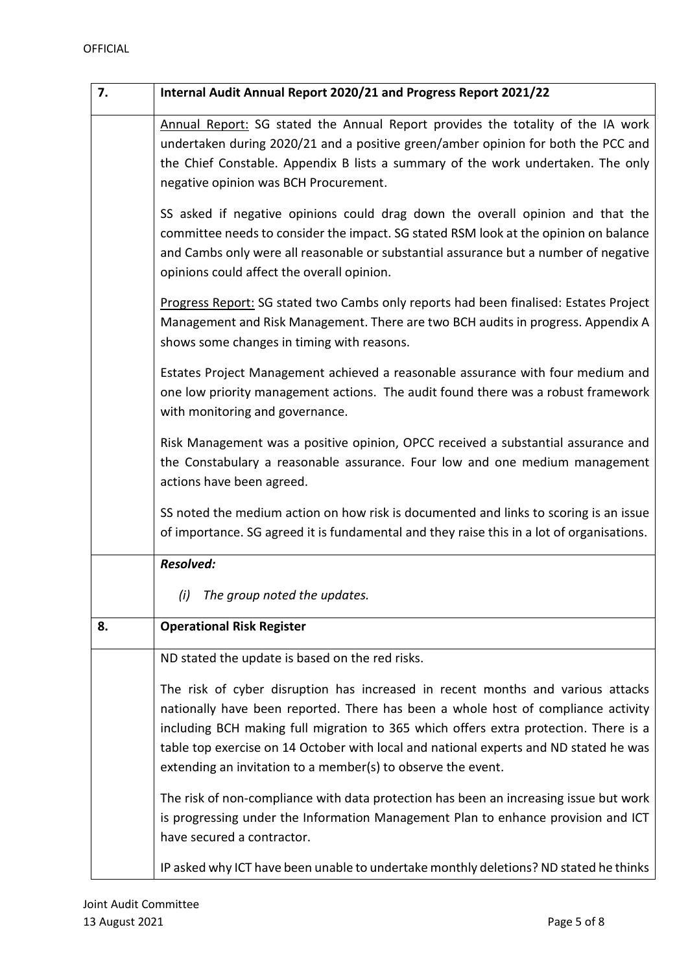| 7. | Internal Audit Annual Report 2020/21 and Progress Report 2021/22                                                                                                                                                                                                                                                                                                                                                      |
|----|-----------------------------------------------------------------------------------------------------------------------------------------------------------------------------------------------------------------------------------------------------------------------------------------------------------------------------------------------------------------------------------------------------------------------|
|    | Annual Report: SG stated the Annual Report provides the totality of the IA work<br>undertaken during 2020/21 and a positive green/amber opinion for both the PCC and<br>the Chief Constable. Appendix B lists a summary of the work undertaken. The only<br>negative opinion was BCH Procurement.                                                                                                                     |
|    | SS asked if negative opinions could drag down the overall opinion and that the<br>committee needs to consider the impact. SG stated RSM look at the opinion on balance<br>and Cambs only were all reasonable or substantial assurance but a number of negative<br>opinions could affect the overall opinion.                                                                                                          |
|    | Progress Report: SG stated two Cambs only reports had been finalised: Estates Project<br>Management and Risk Management. There are two BCH audits in progress. Appendix A<br>shows some changes in timing with reasons.                                                                                                                                                                                               |
|    | Estates Project Management achieved a reasonable assurance with four medium and<br>one low priority management actions. The audit found there was a robust framework<br>with monitoring and governance.                                                                                                                                                                                                               |
|    | Risk Management was a positive opinion, OPCC received a substantial assurance and<br>the Constabulary a reasonable assurance. Four low and one medium management<br>actions have been agreed.                                                                                                                                                                                                                         |
|    | SS noted the medium action on how risk is documented and links to scoring is an issue<br>of importance. SG agreed it is fundamental and they raise this in a lot of organisations.                                                                                                                                                                                                                                    |
|    | <b>Resolved:</b>                                                                                                                                                                                                                                                                                                                                                                                                      |
|    | The group noted the updates.<br>(i)                                                                                                                                                                                                                                                                                                                                                                                   |
| 8. | <b>Operational Risk Register</b>                                                                                                                                                                                                                                                                                                                                                                                      |
|    | ND stated the update is based on the red risks.                                                                                                                                                                                                                                                                                                                                                                       |
|    | The risk of cyber disruption has increased in recent months and various attacks<br>nationally have been reported. There has been a whole host of compliance activity<br>including BCH making full migration to 365 which offers extra protection. There is a<br>table top exercise on 14 October with local and national experts and ND stated he was<br>extending an invitation to a member(s) to observe the event. |
|    | The risk of non-compliance with data protection has been an increasing issue but work<br>is progressing under the Information Management Plan to enhance provision and ICT<br>have secured a contractor.                                                                                                                                                                                                              |
|    | IP asked why ICT have been unable to undertake monthly deletions? ND stated he thinks                                                                                                                                                                                                                                                                                                                                 |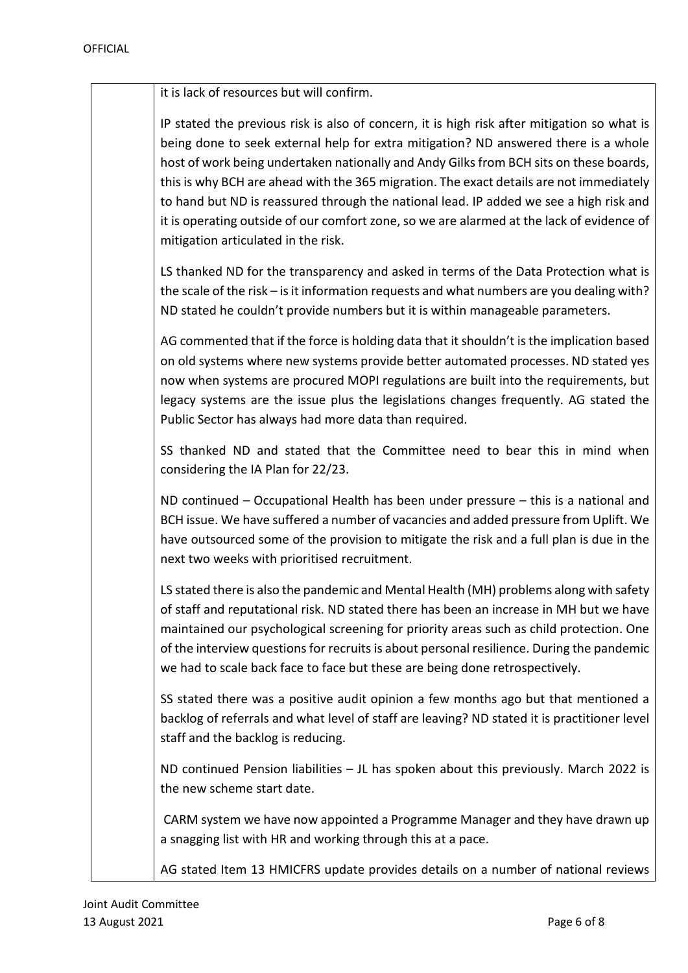it is lack of resources but will confirm.

IP stated the previous risk is also of concern, it is high risk after mitigation so what is being done to seek external help for extra mitigation? ND answered there is a whole host of work being undertaken nationally and Andy Gilks from BCH sits on these boards, this is why BCH are ahead with the 365 migration. The exact details are not immediately to hand but ND is reassured through the national lead. IP added we see a high risk and it is operating outside of our comfort zone, so we are alarmed at the lack of evidence of mitigation articulated in the risk.

LS thanked ND for the transparency and asked in terms of the Data Protection what is the scale of the risk – is it information requests and what numbers are you dealing with? ND stated he couldn't provide numbers but it is within manageable parameters.

AG commented that if the force is holding data that it shouldn't is the implication based on old systems where new systems provide better automated processes. ND stated yes now when systems are procured MOPI regulations are built into the requirements, but legacy systems are the issue plus the legislations changes frequently. AG stated the Public Sector has always had more data than required.

SS thanked ND and stated that the Committee need to bear this in mind when considering the IA Plan for 22/23.

ND continued – Occupational Health has been under pressure – this is a national and BCH issue. We have suffered a number of vacancies and added pressure from Uplift. We have outsourced some of the provision to mitigate the risk and a full plan is due in the next two weeks with prioritised recruitment.

LS stated there is also the pandemic and Mental Health (MH) problems along with safety of staff and reputational risk. ND stated there has been an increase in MH but we have maintained our psychological screening for priority areas such as child protection. One of the interview questions for recruits is about personal resilience. During the pandemic we had to scale back face to face but these are being done retrospectively.

SS stated there was a positive audit opinion a few months ago but that mentioned a backlog of referrals and what level of staff are leaving? ND stated it is practitioner level staff and the backlog is reducing.

ND continued Pension liabilities – JL has spoken about this previously. March 2022 is the new scheme start date.

CARM system we have now appointed a Programme Manager and they have drawn up a snagging list with HR and working through this at a pace.

AG stated Item 13 HMICFRS update provides details on a number of national reviews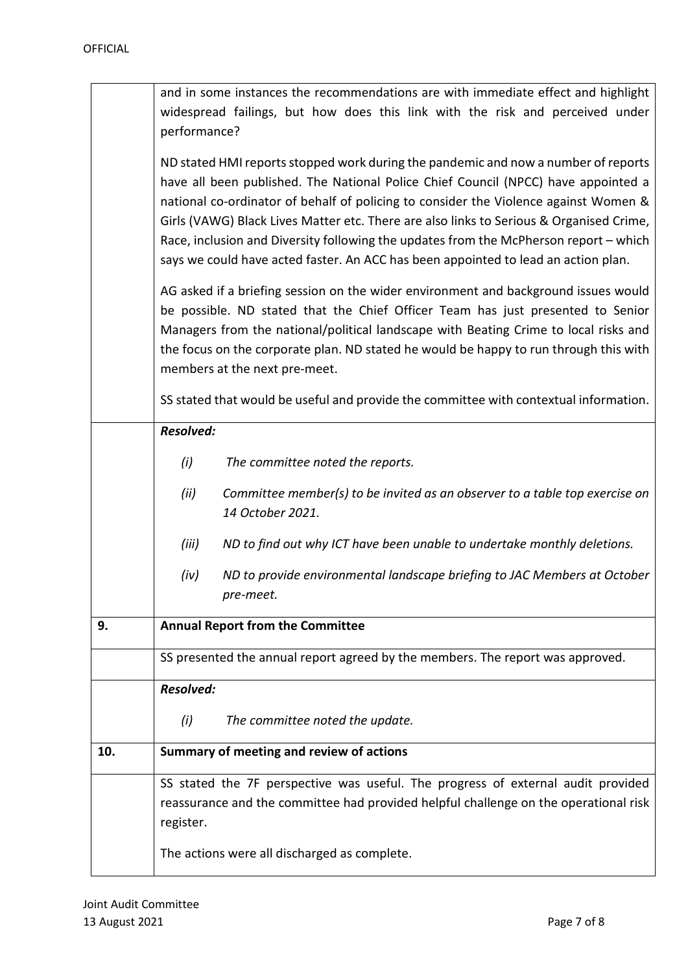|     | and in some instances the recommendations are with immediate effect and highlight                                                                                                                                                                                                                                                                                                                                                                                                                                                                                                                                                                                                                                                                                                                                                                                                                                                      |  |  |
|-----|----------------------------------------------------------------------------------------------------------------------------------------------------------------------------------------------------------------------------------------------------------------------------------------------------------------------------------------------------------------------------------------------------------------------------------------------------------------------------------------------------------------------------------------------------------------------------------------------------------------------------------------------------------------------------------------------------------------------------------------------------------------------------------------------------------------------------------------------------------------------------------------------------------------------------------------|--|--|
|     | widespread failings, but how does this link with the risk and perceived under                                                                                                                                                                                                                                                                                                                                                                                                                                                                                                                                                                                                                                                                                                                                                                                                                                                          |  |  |
|     | performance?                                                                                                                                                                                                                                                                                                                                                                                                                                                                                                                                                                                                                                                                                                                                                                                                                                                                                                                           |  |  |
|     | ND stated HMI reports stopped work during the pandemic and now a number of reports<br>have all been published. The National Police Chief Council (NPCC) have appointed a<br>national co-ordinator of behalf of policing to consider the Violence against Women &<br>Girls (VAWG) Black Lives Matter etc. There are also links to Serious & Organised Crime,<br>Race, inclusion and Diversity following the updates from the McPherson report - which<br>says we could have acted faster. An ACC has been appointed to lead an action plan.<br>AG asked if a briefing session on the wider environment and background issues would<br>be possible. ND stated that the Chief Officer Team has just presented to Senior<br>Managers from the national/political landscape with Beating Crime to local risks and<br>the focus on the corporate plan. ND stated he would be happy to run through this with<br>members at the next pre-meet. |  |  |
|     | SS stated that would be useful and provide the committee with contextual information.                                                                                                                                                                                                                                                                                                                                                                                                                                                                                                                                                                                                                                                                                                                                                                                                                                                  |  |  |
|     | <b>Resolved:</b>                                                                                                                                                                                                                                                                                                                                                                                                                                                                                                                                                                                                                                                                                                                                                                                                                                                                                                                       |  |  |
|     | (i)<br>The committee noted the reports.                                                                                                                                                                                                                                                                                                                                                                                                                                                                                                                                                                                                                                                                                                                                                                                                                                                                                                |  |  |
|     | (ii)<br>Committee member(s) to be invited as an observer to a table top exercise on<br>14 October 2021.                                                                                                                                                                                                                                                                                                                                                                                                                                                                                                                                                                                                                                                                                                                                                                                                                                |  |  |
|     | (iii)<br>ND to find out why ICT have been unable to undertake monthly deletions.                                                                                                                                                                                                                                                                                                                                                                                                                                                                                                                                                                                                                                                                                                                                                                                                                                                       |  |  |
|     | ND to provide environmental landscape briefing to JAC Members at October<br>(iv)<br>pre-meet.                                                                                                                                                                                                                                                                                                                                                                                                                                                                                                                                                                                                                                                                                                                                                                                                                                          |  |  |
| 9.  | <b>Annual Report from the Committee</b>                                                                                                                                                                                                                                                                                                                                                                                                                                                                                                                                                                                                                                                                                                                                                                                                                                                                                                |  |  |
|     | SS presented the annual report agreed by the members. The report was approved.                                                                                                                                                                                                                                                                                                                                                                                                                                                                                                                                                                                                                                                                                                                                                                                                                                                         |  |  |
|     | <b>Resolved:</b>                                                                                                                                                                                                                                                                                                                                                                                                                                                                                                                                                                                                                                                                                                                                                                                                                                                                                                                       |  |  |
|     | The committee noted the update.<br>(i)                                                                                                                                                                                                                                                                                                                                                                                                                                                                                                                                                                                                                                                                                                                                                                                                                                                                                                 |  |  |
| 10. | Summary of meeting and review of actions                                                                                                                                                                                                                                                                                                                                                                                                                                                                                                                                                                                                                                                                                                                                                                                                                                                                                               |  |  |
|     | SS stated the 7F perspective was useful. The progress of external audit provided<br>reassurance and the committee had provided helpful challenge on the operational risk<br>register.                                                                                                                                                                                                                                                                                                                                                                                                                                                                                                                                                                                                                                                                                                                                                  |  |  |
|     | The actions were all discharged as complete.                                                                                                                                                                                                                                                                                                                                                                                                                                                                                                                                                                                                                                                                                                                                                                                                                                                                                           |  |  |